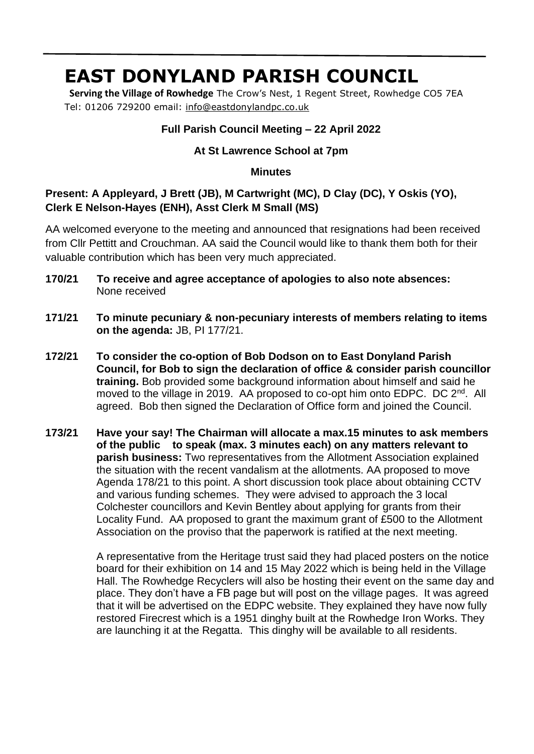# **EAST DONYLAND PARISH COUNCIL**

 **Serving the Village of Rowhedge** The Crow's Nest, 1 Regent Street, Rowhedge CO5 7EA Tel: 01206 729200 email: [info@eastdonylandpc.co.uk](mailto:info@eastdonylandpc.co.uk)

## **Full Parish Council Meeting – 22 April 2022**

## **At St Lawrence School at 7pm**

#### **Minutes**

# **Present: A Appleyard, J Brett (JB), M Cartwright (MC), D Clay (DC), Y Oskis (YO), Clerk E Nelson-Hayes (ENH), Asst Clerk M Small (MS)**

AA welcomed everyone to the meeting and announced that resignations had been received from Cllr Pettitt and Crouchman. AA said the Council would like to thank them both for their valuable contribution which has been very much appreciated.

- 1 **170/21 To receive and agree acceptance of apologies to also note absences:**  None received
- **171/21 To minute pecuniary & non-pecuniary interests of members relating to items on the agenda:** JB, PI 177/21.
- **172/21 To consider the co-option of Bob Dodson on to East Donyland Parish Council, for Bob to sign the declaration of office & consider parish councillor training.** Bob provided some background information about himself and said he moved to the village in 2019. AA proposed to co-opt him onto EDPC. DC 2<sup>nd</sup>. All agreed. Bob then signed the Declaration of Office form and joined the Council.
- **173/21 Have your say! The Chairman will allocate a max.15 minutes to ask members of the public to speak (max. 3 minutes each) on any matters relevant to parish business:** Two representatives from the Allotment Association explained the situation with the recent vandalism at the allotments. AA proposed to move Agenda 178/21 to this point. A short discussion took place about obtaining CCTV and various funding schemes. They were advised to approach the 3 local Colchester councillors and Kevin Bentley about applying for grants from their Locality Fund. AA proposed to grant the maximum grant of £500 to the Allotment Association on the proviso that the paperwork is ratified at the next meeting.

A representative from the Heritage trust said they had placed posters on the notice board for their exhibition on 14 and 15 May 2022 which is being held in the Village Hall. The Rowhedge Recyclers will also be hosting their event on the same day and place. They don't have a FB page but will post on the village pages. It was agreed that it will be advertised on the EDPC website. They explained they have now fully restored Firecrest which is a 1951 dinghy built at the Rowhedge Iron Works. They are launching it at the Regatta. This dinghy will be available to all residents.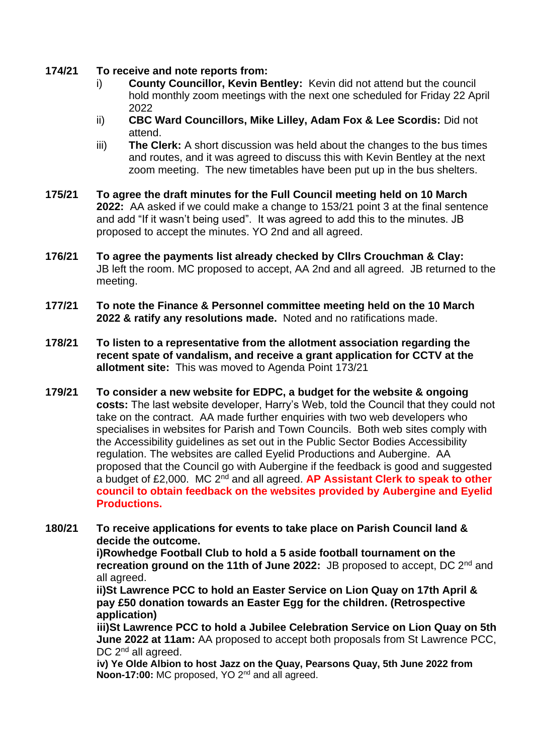### **174/21 To receive and note reports from:**

- i) **County Councillor, Kevin Bentley:** Kevin did not attend but the council hold monthly zoom meetings with the next one scheduled for Friday 22 April 2022
- ii) **CBC Ward Councillors, Mike Lilley, Adam Fox & Lee Scordis:** Did not attend.
- iii) **The Clerk:** A short discussion was held about the changes to the bus times and routes, and it was agreed to discuss this with Kevin Bentley at the next zoom meeting. The new timetables have been put up in the bus shelters.
- **175/21 To agree the draft minutes for the Full Council meeting held on 10 March 2022:** AA asked if we could make a change to 153/21 point 3 at the final sentence and add "If it wasn't being used". It was agreed to add this to the minutes. JB proposed to accept the minutes. YO 2nd and all agreed.
- **176/21 To agree the payments list already checked by Cllrs Crouchman & Clay:**  JB left the room. MC proposed to accept, AA 2nd and all agreed. JB returned to the meeting.
- **177/21 To note the Finance & Personnel committee meeting held on the 10 March 2022 & ratify any resolutions made.** Noted and no ratifications made.
- **178/21 To listen to a representative from the allotment association regarding the recent spate of vandalism, and receive a grant application for CCTV at the allotment site:** This was moved to Agenda Point 173/21
- **179/21 To consider a new website for EDPC, a budget for the website & ongoing costs:** The last website developer, Harry's Web, told the Council that they could not take on the contract. AA made further enquiries with two web developers who specialises in websites for Parish and Town Councils. Both web sites comply with the Accessibility guidelines as set out in the Public Sector Bodies Accessibility regulation. The websites are called Eyelid Productions and Aubergine. AA proposed that the Council go with Aubergine if the feedback is good and suggested a budget of £2,000. MC 2nd and all agreed. **AP Assistant Clerk to speak to other council to obtain feedback on the websites provided by Aubergine and Eyelid Productions.**
- **180/21 To receive applications for events to take place on Parish Council land & decide the outcome.**

**i)Rowhedge Football Club to hold a 5 aside football tournament on the recreation ground on the 11th of June 2022:** JB proposed to accept, DC 2<sup>nd</sup> and all agreed.

**ii)St Lawrence PCC to hold an Easter Service on Lion Quay on 17th April & pay £50 donation towards an Easter Egg for the children. (Retrospective application)**

**iii)St Lawrence PCC to hold a Jubilee Celebration Service on Lion Quay on 5th June 2022 at 11am:** AA proposed to accept both proposals from St Lawrence PCC, DC 2<sup>nd</sup> all agreed.

**iv) Ye Olde Albion to host Jazz on the Quay, Pearsons Quay, 5th June 2022 from Noon-17:00:** MC proposed, YO 2nd and all agreed.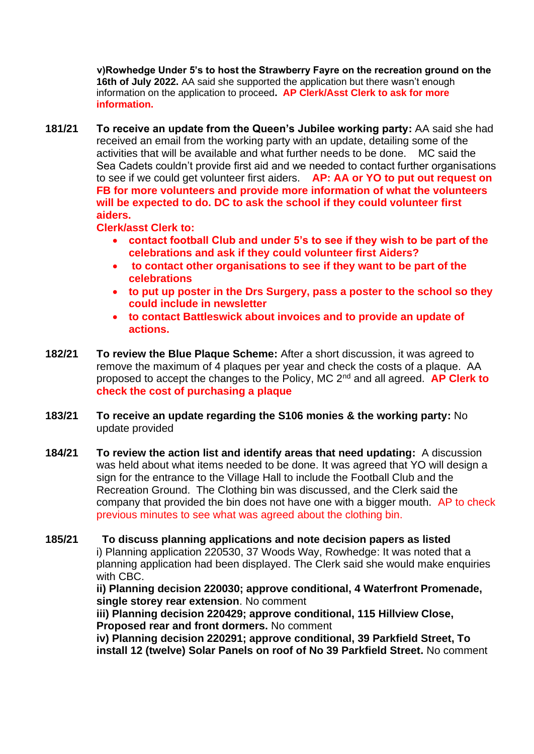**v)Rowhedge Under 5's to host the Strawberry Fayre on the recreation ground on the 16th of July 2022.** AA said she supported the application but there wasn't enough information on the application to proceed**. AP Clerk/Asst Clerk to ask for more information.**

**181/21 To receive an update from the Queen's Jubilee working party:** AA said she had received an email from the working party with an update, detailing some of the activities that will be available and what further needs to be done. MC said the Sea Cadets couldn't provide first aid and we needed to contact further organisations to see if we could get volunteer first aiders. **AP: AA or YO to put out request on FB for more volunteers and provide more information of what the volunteers will be expected to do. DC to ask the school if they could volunteer first aiders.** 

**Clerk/asst Clerk to:**

- **contact football Club and under 5's to see if they wish to be part of the celebrations and ask if they could volunteer first Aiders?**
- **to contact other organisations to see if they want to be part of the celebrations**
- **to put up poster in the Drs Surgery, pass a poster to the school so they could include in newsletter**
- **to contact Battleswick about invoices and to provide an update of actions.**
- **182/21 To review the Blue Plaque Scheme:** After a short discussion, it was agreed to remove the maximum of 4 plaques per year and check the costs of a plaque. AA proposed to accept the changes to the Policy, MC 2nd and all agreed. **AP Clerk to check the cost of purchasing a plaque**
- **183/21 To receive an update regarding the S106 monies & the working party:** No update provided
- **184/21 To review the action list and identify areas that need updating:** A discussion was held about what items needed to be done. It was agreed that YO will design a sign for the entrance to the Village Hall to include the Football Club and the Recreation Ground. The Clothing bin was discussed, and the Clerk said the company that provided the bin does not have one with a bigger mouth. AP to check previous minutes to see what was agreed about the clothing bin.
- **185/21 To discuss planning applications and note decision papers as listed** i) [Planning application 220530, 37 Woods Way, Rowhedge:](https://www.colchester.gov.uk/wampd/?id=220530) It was noted that a planning application had been displayed. The Clerk said she would make enquiries with CBC.

**ii) [Planning decision 220030; approve conditional, 4 Waterfront Promenade,](https://www.colchester.gov.uk/wampd/?id=220030)  [single storey rear extension](https://www.colchester.gov.uk/wampd/?id=220030)**. No comment

**iii) [Planning decision 220429; approve conditional, 115 Hillview Close,](https://www.colchester.gov.uk/wampd/?id=220429)  [Proposed rear and front dormers.](https://www.colchester.gov.uk/wampd/?id=220429)** No comment

**iv) [Planning decision 220291; approve](https://www.colchester.gov.uk/wampd/?id=220291) conditional, 39 Parkfield Street, To [install 12 \(twelve\) Solar Panels on roof of No 39 Parkfield Street.](https://www.colchester.gov.uk/wampd/?id=220291)** No comment